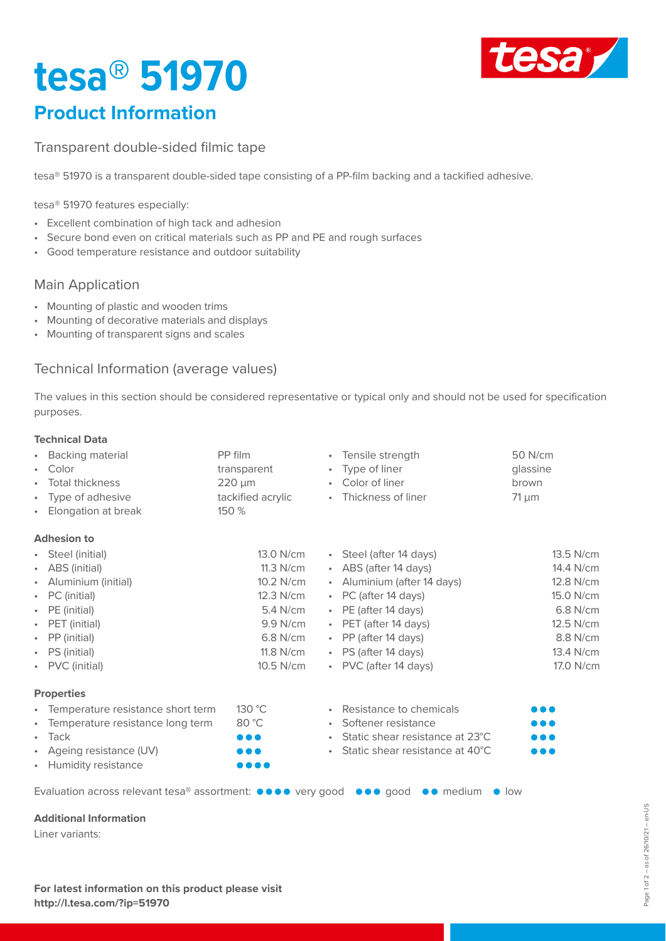# **tesa® 51970**



### **Product Information**

Transparent double-sided filmic tape

tesa® 51970 is a transparent double-sided tape consisting of a PP-film backing and a tackified adhesive.

tesa® 51970 features especially:

- Excellent combination of high tack and adhesion
- Secure bond even on critical materials such as PP and PE and rough surfaces
- Good temperature resistance and outdoor suitability

#### Main Application

- Mounting of plastic and wooden trims
- Mounting of decorative materials and displays
- Mounting of transparent signs and scales

#### Technical Information (average values)

The values in this section should be considered representative or typical only and should not be used for specification purposes.

#### **Technical Data**

| 50 N/cm   |
|-----------|
| glassine  |
| brown     |
|           |
|           |
|           |
| 13.5 N/cm |
| 14.4 N/cm |
| 12.8 N/cm |
| 15.0 N/cm |
| 6.8 N/cm  |
| 12.5 N/cm |
| 8.8 N/cm  |
| 13.4 N/cm |
| 17.0 N/cm |
|           |
| .         |
| .         |
|           |
| .         |
|           |
|           |

#### **Additional Information**

Liner variants: